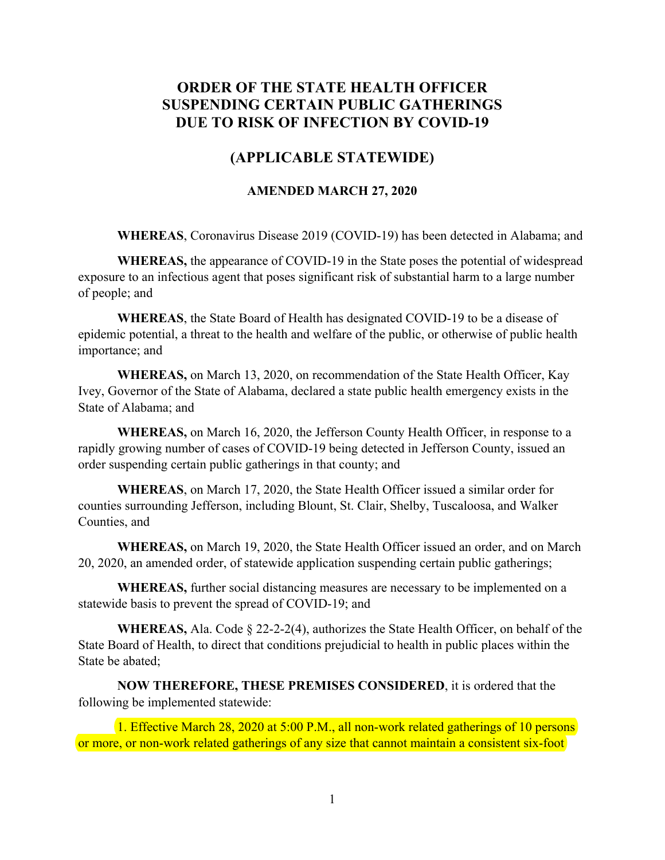## **ORDER OF THE STATE HEALTH OFFICER SUSPENDING CERTAIN PUBLIC GATHERINGS DUE TO RISK OF INFECTION BY COVID-19**

## **(APPLICABLE STATEWIDE)**

## **AMENDED MARCH 27, 2020**

**WHEREAS**, Coronavirus Disease 2019 (COVID-19) has been detected in Alabama; and

**WHEREAS,** the appearance of COVID-19 in the State poses the potential of widespread exposure to an infectious agent that poses significant risk of substantial harm to a large number of people; and

**WHEREAS**, the State Board of Health has designated COVID-19 to be a disease of epidemic potential, a threat to the health and welfare of the public, or otherwise of public health importance; and

**WHEREAS,** on March 13, 2020, on recommendation of the State Health Officer, Kay Ivey, Governor of the State of Alabama, declared a state public health emergency exists in the State of Alabama; and

**WHEREAS,** on March 16, 2020, the Jefferson County Health Officer, in response to a rapidly growing number of cases of COVID-19 being detected in Jefferson County, issued an order suspending certain public gatherings in that county; and

**WHEREAS**, on March 17, 2020, the State Health Officer issued a similar order for counties surrounding Jefferson, including Blount, St. Clair, Shelby, Tuscaloosa, and Walker Counties, and

**WHEREAS,** on March 19, 2020, the State Health Officer issued an order, and on March 20, 2020, an amended order, of statewide application suspending certain public gatherings;

**WHEREAS,** further social distancing measures are necessary to be implemented on a statewide basis to prevent the spread of COVID-19; and

**WHEREAS,** Ala. Code § 22-2-2(4), authorizes the State Health Officer, on behalf of the State Board of Health, to direct that conditions prejudicial to health in public places within the State be abated;

**NOW THEREFORE, THESE PREMISES CONSIDERED**, it is ordered that the following be implemented statewide:

1. Effective March 28, 2020 at 5:00 P.M., all non-work related gatherings of 10 persons or more, or non-work related gatherings of any size that cannot maintain a consistent six-foot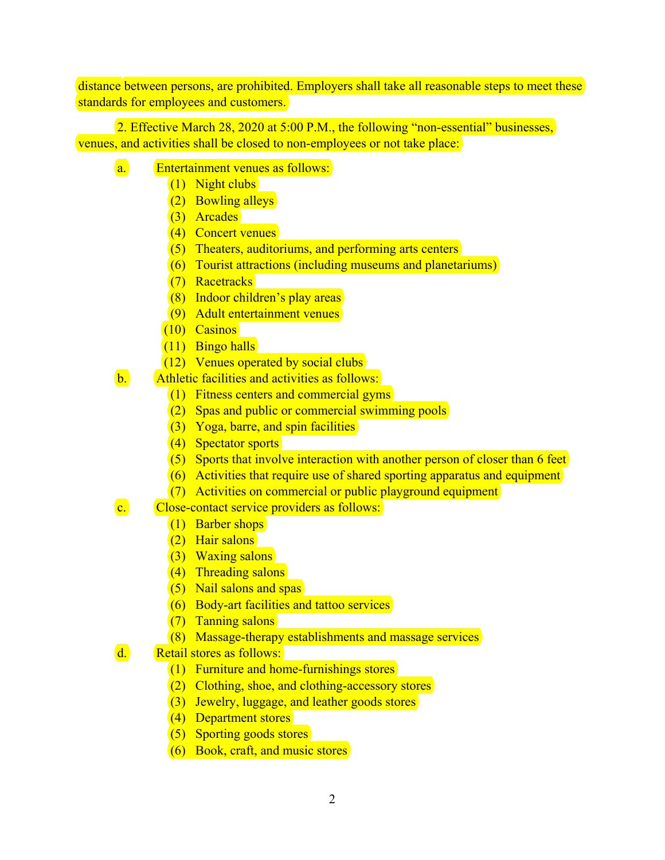distance between persons, are prohibited. Employers shall take all reasonable steps to meet these standards for employees and customers.

2. Effective March 28, 2020 at 5:00 P.M., the following "non-essential" businesses, venues, and activities shall be closed to non-employees or not take place:

- a. Entertainment venues as follows:
	- (1) Night clubs
	- (2) Bowling alleys
	- (3) Arcades
	- (4) Concert venues
	- (5) Theaters, auditoriums, and performing arts centers
	- (6) Tourist attractions (including museums and planetariums)
	- (7) Racetracks
	- (8) Indoor children's play areas
	- (9) Adult entertainment venues
	- (10) Casinos
	- (11) Bingo halls
	- (12) Venues operated by social clubs
- b. Athletic facilities and activities as follows:
	- $(1)$  Fitness centers and commercial gyms
	- (2) Spas and public or commercial swimming pools
	- (3) Yoga, barre, and spin facilities
	- (4) Spectator sports
	- (5) Sports that involve interaction with another person of closer than 6 feet
	- (6) Activities that require use of shared sporting apparatus and equipment
	- (7) Activities on commercial or public playground equipment
- c. Close-contact service providers as follows:
	- (1) Barber shops
	- (2) Hair salons
	- (3) Waxing salons
	- (4) Threading salons
	- (5) Nail salons and spas
	- (6) Body-art facilities and tattoo services
	- (7) Tanning salons
	- (8) Massage-therapy establishments and massage services
- d. Retail stores as follows:
	- (1) Furniture and home-furnishings stores
	- (2) Clothing, shoe, and clothing-accessory stores
	- (3) Jewelry, luggage, and leather goods stores
	- (4) Department stores
	- (5) Sporting goods stores
	- (6) Book, craft, and music stores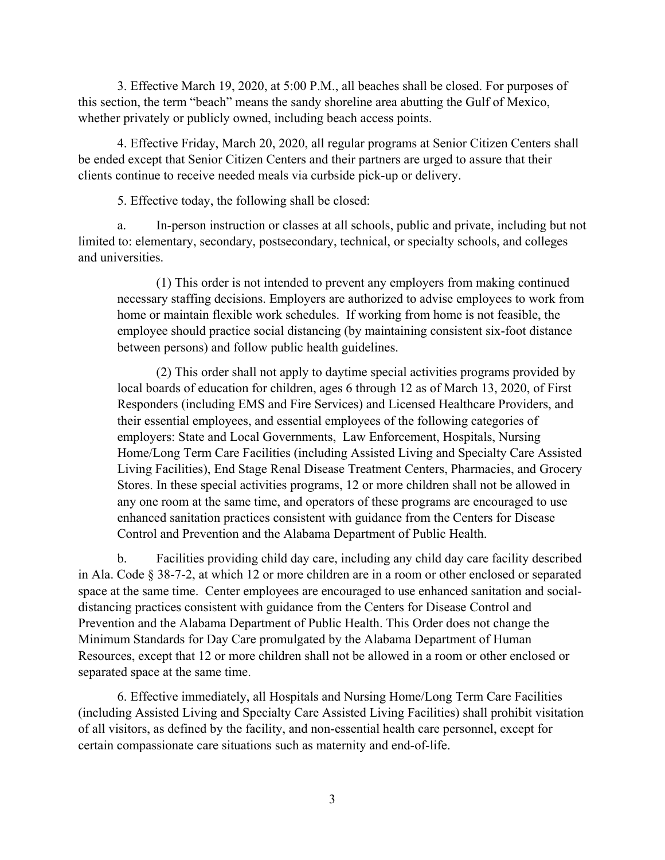3. Effective March 19, 2020, at 5:00 P.M., all beaches shall be closed. For purposes of this section, the term "beach" means the sandy shoreline area abutting the Gulf of Mexico, whether privately or publicly owned, including beach access points.

4. Effective Friday, March 20, 2020, all regular programs at Senior Citizen Centers shall be ended except that Senior Citizen Centers and their partners are urged to assure that their clients continue to receive needed meals via curbside pick-up or delivery.

5. Effective today, the following shall be closed:

a. In-person instruction or classes at all schools, public and private, including but not limited to: elementary, secondary, postsecondary, technical, or specialty schools, and colleges and universities.

(1) This order is not intended to prevent any employers from making continued necessary staffing decisions. Employers are authorized to advise employees to work from home or maintain flexible work schedules. If working from home is not feasible, the employee should practice social distancing (by maintaining consistent six-foot distance between persons) and follow public health guidelines.

(2) This order shall not apply to daytime special activities programs provided by local boards of education for children, ages 6 through 12 as of March 13, 2020, of First Responders (including EMS and Fire Services) and Licensed Healthcare Providers, and their essential employees, and essential employees of the following categories of employers: State and Local Governments, Law Enforcement, Hospitals, Nursing Home/Long Term Care Facilities (including Assisted Living and Specialty Care Assisted Living Facilities), End Stage Renal Disease Treatment Centers, Pharmacies, and Grocery Stores. In these special activities programs, 12 or more children shall not be allowed in any one room at the same time, and operators of these programs are encouraged to use enhanced sanitation practices consistent with guidance from the Centers for Disease Control and Prevention and the Alabama Department of Public Health.

b. Facilities providing child day care, including any child day care facility described in Ala. Code § 38-7-2, at which 12 or more children are in a room or other enclosed or separated space at the same time. Center employees are encouraged to use enhanced sanitation and socialdistancing practices consistent with guidance from the Centers for Disease Control and Prevention and the Alabama Department of Public Health. This Order does not change the Minimum Standards for Day Care promulgated by the Alabama Department of Human Resources, except that 12 or more children shall not be allowed in a room or other enclosed or separated space at the same time.

6. Effective immediately, all Hospitals and Nursing Home/Long Term Care Facilities (including Assisted Living and Specialty Care Assisted Living Facilities) shall prohibit visitation of all visitors, as defined by the facility, and non-essential health care personnel, except for certain compassionate care situations such as maternity and end-of-life.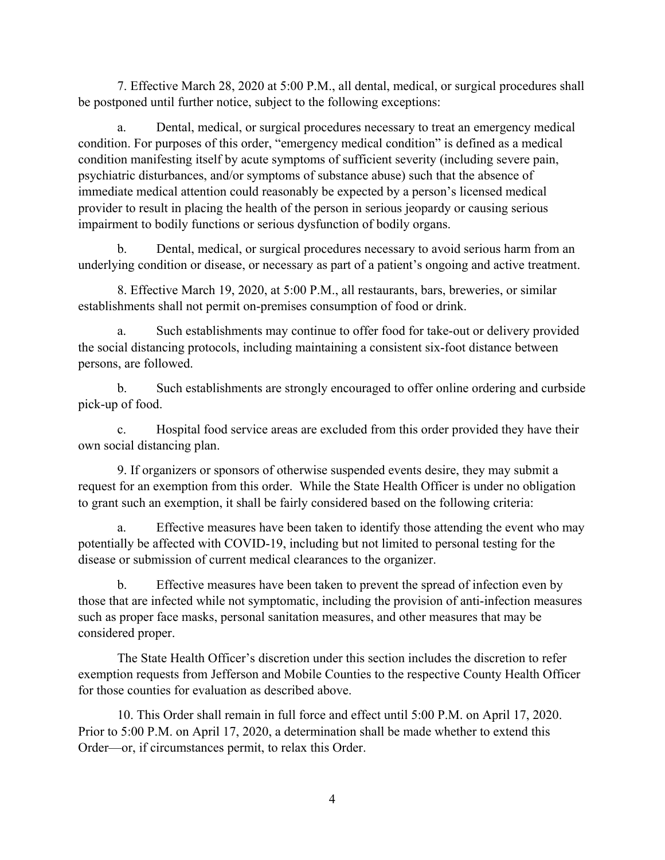7. Effective March 28, 2020 at 5:00 P.M., all dental, medical, or surgical procedures shall be postponed until further notice, subject to the following exceptions:

a. Dental, medical, or surgical procedures necessary to treat an emergency medical condition. For purposes of this order, "emergency medical condition" is defined as a medical condition manifesting itself by acute symptoms of sufficient severity (including severe pain, psychiatric disturbances, and/or symptoms of substance abuse) such that the absence of immediate medical attention could reasonably be expected by a person's licensed medical provider to result in placing the health of the person in serious jeopardy or causing serious impairment to bodily functions or serious dysfunction of bodily organs.

b. Dental, medical, or surgical procedures necessary to avoid serious harm from an underlying condition or disease, or necessary as part of a patient's ongoing and active treatment.

8. Effective March 19, 2020, at 5:00 P.M., all restaurants, bars, breweries, or similar establishments shall not permit on-premises consumption of food or drink.

a. Such establishments may continue to offer food for take-out or delivery provided the social distancing protocols, including maintaining a consistent six-foot distance between persons, are followed.

b. Such establishments are strongly encouraged to offer online ordering and curbside pick-up of food.

c. Hospital food service areas are excluded from this order provided they have their own social distancing plan.

 9. If organizers or sponsors of otherwise suspended events desire, they may submit a request for an exemption from this order. While the State Health Officer is under no obligation to grant such an exemption, it shall be fairly considered based on the following criteria:

a. Effective measures have been taken to identify those attending the event who may potentially be affected with COVID-19, including but not limited to personal testing for the disease or submission of current medical clearances to the organizer.

b. Effective measures have been taken to prevent the spread of infection even by those that are infected while not symptomatic, including the provision of anti-infection measures such as proper face masks, personal sanitation measures, and other measures that may be considered proper.

The State Health Officer's discretion under this section includes the discretion to refer exemption requests from Jefferson and Mobile Counties to the respective County Health Officer for those counties for evaluation as described above.

10. This Order shall remain in full force and effect until 5:00 P.M. on April 17, 2020. Prior to 5:00 P.M. on April 17, 2020, a determination shall be made whether to extend this Order—or, if circumstances permit, to relax this Order.